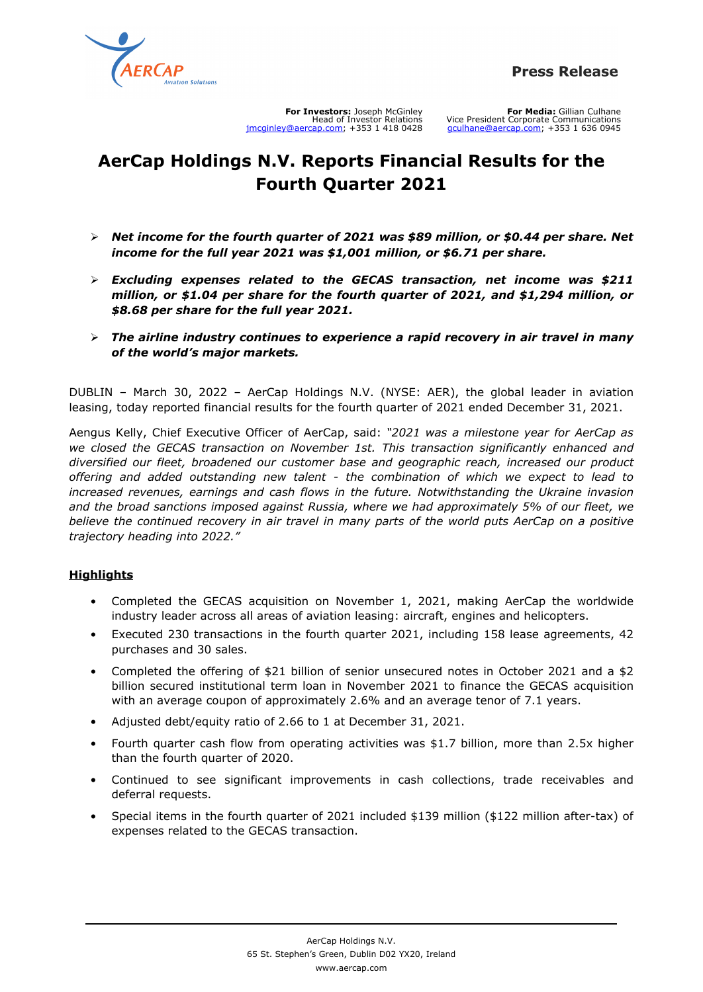



**For Investors:** Joseph McGinley Head of Investor Relations<br>1418 0428 more imcginley@aercap.com; +353 1

**For Media:** Gillian Culhane Vice President Corporate Communications<br>gculhane@aercap.com; +353 1 636 0945

# **AerCap Holdings N.V. Reports Financial Results for the Fourth Quarter 2021**

- Ø *Net income for the fourth quarter of 2021 was \$89 million, or \$0.44 per share. Net income for the full year 2021 was \$1,001 million, or \$6.71 per share.*
- $\triangleright$  Excluding expenses related to the GECAS transaction, net income was \$211 *million, or \$1.04 per share for the fourth quarter of 2021, and \$1,294 million, or \$8.68 per share for the full year 2021.*
- $\triangleright$  The airline industry continues to experience a rapid recovery in air travel in many *of the world's major markets.*

DUBLIN – March 30, 2022 – AerCap Holdings N.V. (NYSE: AER), the global leader in aviation leasing, today reported financial results for the fourth quarter of 2021 ended December 31, 2021.

Aengus Kelly, Chief Executive Officer of AerCap, said: *"2021 was a milestone year for AerCap as we closed the GECAS transaction on November 1st. This transaction significantly enhanced and diversified our fleet, broadened our customer base and geographic reach, increased our product offering and added outstanding new talent - the combination of which we expect to lead to increased revenues, earnings and cash flows in the future. Notwithstanding the Ukraine invasion and the broad sanctions imposed against Russia, where we had approximately 5% of our fleet, we believe the continued recovery in air travel in many parts of the world puts AerCap on a positive trajectory heading into 2022."*

## **Highlights**

- Completed the GECAS acquisition on November 1, 2021, making AerCap the worldwide industry leader across all areas of aviation leasing: aircraft, engines and helicopters.
- Executed 230 transactions in the fourth quarter 2021, including 158 lease agreements, 42 purchases and 30 sales.
- Completed the offering of \$21 billion of senior unsecured notes in October 2021 and a \$2 billion secured institutional term loan in November 2021 to finance the GECAS acquisition with an average coupon of approximately 2.6% and an average tenor of 7.1 years.
- Adjusted debt/equity ratio of 2.66 to 1 at December 31, 2021.
- Fourth quarter cash flow from operating activities was \$1.7 billion, more than 2.5x higher than the fourth quarter of 2020.
- Continued to see significant improvements in cash collections, trade receivables and deferral requests.
- Special items in the fourth quarter of 2021 included \$139 million (\$122 million after-tax) of expenses related to the GECAS transaction.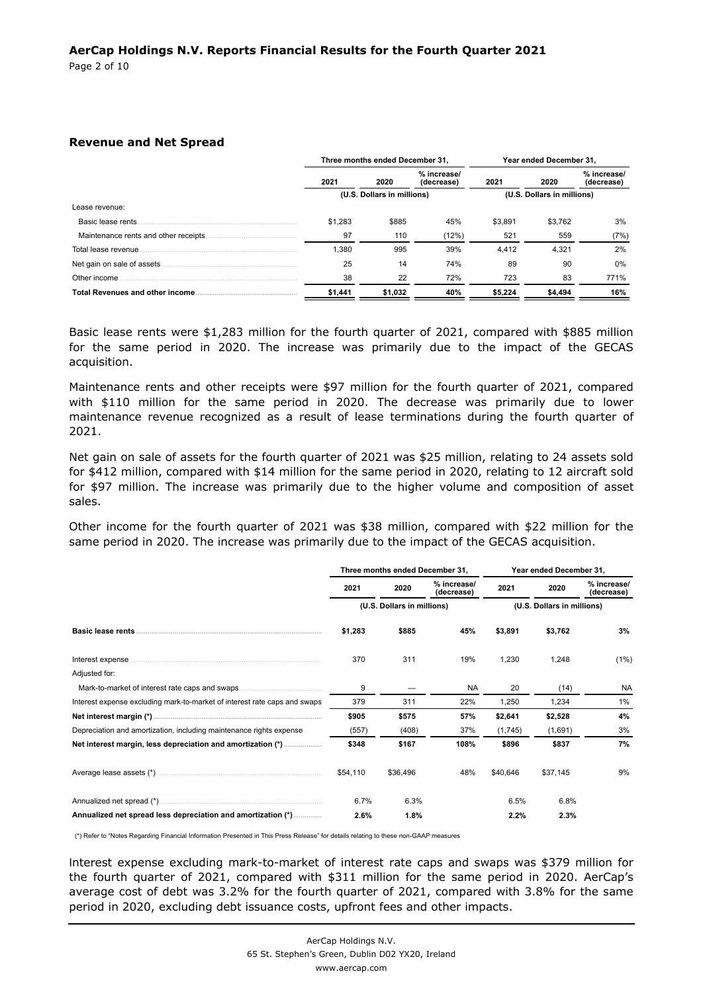## **Revenue and Net Spread**

|                                       | Three months ended December 31, |         | Year ended December 31,   |                            |         |                           |
|---------------------------------------|---------------------------------|---------|---------------------------|----------------------------|---------|---------------------------|
|                                       | 2021                            | 2020    | % increase/<br>(decrease) | 2021                       | 2020    | % increase/<br>(decrease) |
|                                       | (U.S. Dollars in millions)      |         |                           | (U.S. Dollars in millions) |         |                           |
| Lease revenue:                        |                                 |         |                           |                            |         |                           |
| Basic lease rents                     | \$1.283                         | \$885   | 45%                       | \$3.891                    | \$3.762 | 3%                        |
| Maintenance rents and other receipts. | 97                              | 110     | (12%)                     | 521                        | 559     | (7%)                      |
| Total lease revenue                   | 1.380                           | 995     | 39%                       | 4.412                      | 4.321   | 2%                        |
| Net gain on sale of assets.           | 25                              | 14      | 74%                       | 89                         | 90      | 0%                        |
| Other income                          | 38                              | 22      | 72%                       | 723                        | 83      | 771%                      |
| Total Revenues and other income.      | \$1,441                         | \$1,032 | 40%                       | \$5,224                    | \$4,494 | 16%                       |

Basic lease rents were \$1,283 million for the fourth quarter of 2021, compared with \$885 million for the same period in 2020. The increase was primarily due to the impact of the GECAS acquisition.

Maintenance rents and other receipts were \$97 million for the fourth quarter of 2021, compared with \$110 million for the same period in 2020. The decrease was primarily due to lower maintenance revenue recognized as a result of lease terminations during the fourth quarter of 2021.

Net gain on sale of assets for the fourth quarter of 2021 was \$25 million, relating to 24 assets sold for \$412 million, compared with \$14 million for the same period in 2020, relating to 12 aircraft sold for \$97 million. The increase was primarily due to the higher volume and composition of asset sales.

Other income for the fourth quarter of 2021 was \$38 million, compared with \$22 million for the same period in 2020. The increase was primarily due to the impact of the GECAS acquisition.

|                                                                           | Three months ended December 31, |                            | Year ended December 31,   |          |                            |                           |
|---------------------------------------------------------------------------|---------------------------------|----------------------------|---------------------------|----------|----------------------------|---------------------------|
|                                                                           | 2021                            | 2020                       | % increase/<br>(decrease) | 2021     | 2020                       | % increase/<br>(decrease) |
|                                                                           |                                 | (U.S. Dollars in millions) |                           |          | (U.S. Dollars in millions) |                           |
|                                                                           | \$1,283                         | \$885                      | 45%                       | \$3,891  | \$3,762                    | 3%                        |
| Interest expense                                                          | 370                             | 311                        | 19%                       | 1,230    | 1,248                      | (1%)                      |
| Adjusted for:                                                             |                                 |                            |                           |          |                            |                           |
| Mark-to-market of interest rate caps and swaps                            | 9                               |                            | <b>NA</b>                 | 20       | (14)                       | <b>NA</b>                 |
| Interest expense excluding mark-to-market of interest rate caps and swaps | 379                             | 311                        | 22%                       | 1,250    | 1,234                      | 1%                        |
|                                                                           | \$905                           | \$575                      | 57%                       | \$2,641  | \$2,528                    | 4%                        |
| Depreciation and amortization, including maintenance rights expense       | (557)                           | (408)                      | 37%                       | (1,745)  | (1,691)                    | 3%                        |
| Net interest margin, less depreciation and amortization (*)               | \$348                           | \$167                      | 108%                      | \$896    | \$837                      | 7%                        |
|                                                                           | \$54,110                        | \$36,496                   | 48%                       | \$40,646 | \$37,145                   | 9%                        |
|                                                                           | 6.7%                            | 6.3%                       |                           | 6.5%     | 6.8%                       |                           |
| Annualized net spread less depreciation and amortization (*)              | 2.6%                            | 1.8%                       |                           | 2.2%     | 2.3%                       |                           |

(\*) Refer to "Notes Regarding Financial Information Presented in This Press Release" for details relating to these non-GAAP measures

Interest expense excluding mark-to-market of interest rate caps and swaps was \$379 million for the fourth quarter of 2021, compared with \$311 million for the same period in 2020. AerCap's average cost of debt was 3.2% for the fourth quarter of 2021, compared with 3.8% for the same period in 2020, excluding debt issuance costs, upfront fees and other impacts.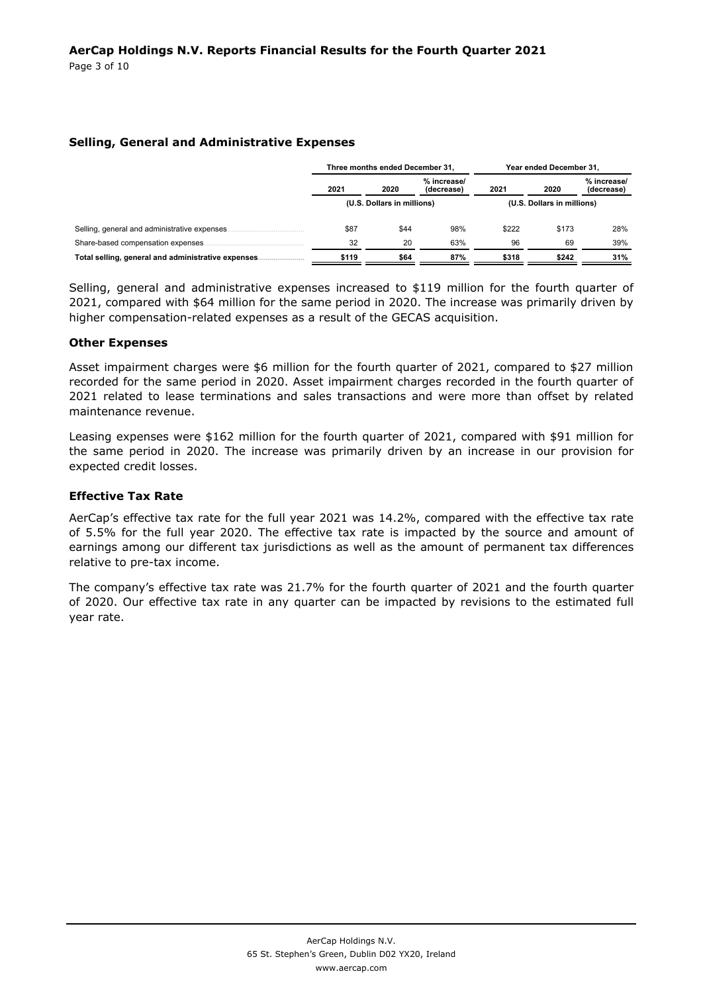# **Selling, General and Administrative Expenses**

|                                                     | Three months ended December 31, |      |                            | Year ended December 31. |       |                           |
|-----------------------------------------------------|---------------------------------|------|----------------------------|-------------------------|-------|---------------------------|
|                                                     | 2021                            | 2020 | % increase/<br>(decrease)  | 2021                    | 2020  | % increase/<br>(decrease) |
|                                                     | (U.S. Dollars in millions)      |      | (U.S. Dollars in millions) |                         |       |                           |
| Selling, general and administrative expenses.       | \$87                            | \$44 | 98%                        | \$222                   | \$173 | 28%                       |
| Share-based compensation expenses                   | 32                              | 20   | 63%                        | 96                      | 69    | 39%                       |
| Total selling, general and administrative expenses. | \$119                           | \$64 | 87%                        | \$318                   | \$242 | 31%                       |

Selling, general and administrative expenses increased to \$119 million for the fourth quarter of 2021, compared with \$64 million for the same period in 2020. The increase was primarily driven by higher compensation-related expenses as a result of the GECAS acquisition.

#### **Other Expenses**

Asset impairment charges were \$6 million for the fourth quarter of 2021, compared to \$27 million recorded for the same period in 2020. Asset impairment charges recorded in the fourth quarter of 2021 related to lease terminations and sales transactions and were more than offset by related maintenance revenue.

Leasing expenses were \$162 million for the fourth quarter of 2021, compared with \$91 million for the same period in 2020. The increase was primarily driven by an increase in our provision for expected credit losses.

#### **Effective Tax Rate**

AerCap's effective tax rate for the full year 2021 was 14.2%, compared with the effective tax rate of 5.5% for the full year 2020. The effective tax rate is impacted by the source and amount of earnings among our different tax jurisdictions as well as the amount of permanent tax differences relative to pre-tax income.

The company's effective tax rate was 21.7% for the fourth quarter of 2021 and the fourth quarter of 2020. Our effective tax rate in any quarter can be impacted by revisions to the estimated full year rate.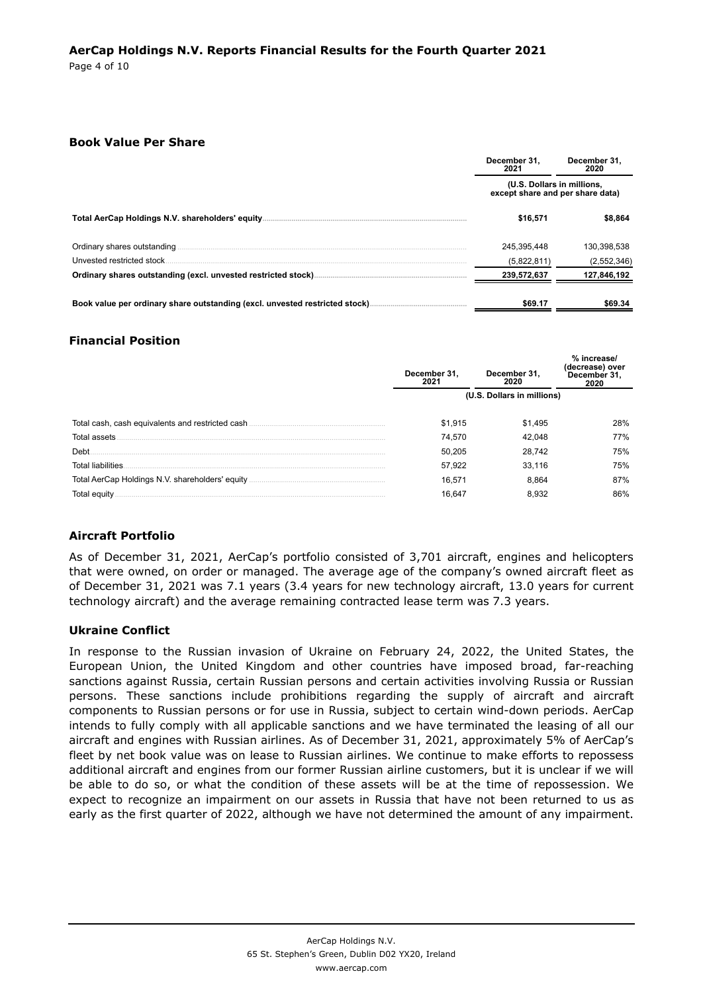#### **Book Value Per Share**

|                                                                              | December 31,<br>2021                                           | December 31,<br>2020 |  |
|------------------------------------------------------------------------------|----------------------------------------------------------------|----------------------|--|
|                                                                              | (U.S. Dollars in millions,<br>except share and per share data) |                      |  |
| Total AerCap Holdings N.V. shareholders' equity                              | \$16.571                                                       | \$8,864              |  |
| Ordinary shares outstanding                                                  | 245,395,448                                                    | 130,398,538          |  |
| Unvested restricted stock.                                                   | (5,822,811)                                                    | (2,552,346)          |  |
|                                                                              | 239,572,637                                                    | 127,846,192          |  |
| Book value per ordinary share outstanding (excl. unvested restricted stock). | \$69.17                                                        | \$69.34              |  |

## **Financial Position**

|                     | December 31.<br>2021 | December 31,<br>2020       | % increase/<br>decrease) over<br>December 31<br>2020 |
|---------------------|----------------------|----------------------------|------------------------------------------------------|
|                     |                      | (U.S. Dollars in millions) |                                                      |
|                     | \$1.915              | \$1.495                    | 28%                                                  |
| Total assets        | 74.570               | 42.048                     | 77%                                                  |
| Debt                | 50.205               | 28.742                     | 75%                                                  |
| Total liabilities.  | 57.922               | 33.116                     | 75%                                                  |
|                     | 16.571               | 8.864                      | 87%                                                  |
| <b>Total equity</b> | 16.64                | 8.932                      | 86%                                                  |

## **Aircraft Portfolio**

As of December 31, 2021, AerCap's portfolio consisted of 3,701 aircraft, engines and helicopters that were owned, on order or managed. The average age of the company's owned aircraft fleet as of December 31, 2021 was 7.1 years (3.4 years for new technology aircraft, 13.0 years for current technology aircraft) and the average remaining contracted lease term was 7.3 years.

#### **Ukraine Conflict**

In response to the Russian invasion of Ukraine on February 24, 2022, the United States, the European Union, the United Kingdom and other countries have imposed broad, far-reaching sanctions against Russia, certain Russian persons and certain activities involving Russia or Russian persons. These sanctions include prohibitions regarding the supply of aircraft and aircraft components to Russian persons or for use in Russia, subject to certain wind-down periods. AerCap intends to fully comply with all applicable sanctions and we have terminated the leasing of all our aircraft and engines with Russian airlines. As of December 31, 2021, approximately 5% of AerCap's fleet by net book value was on lease to Russian airlines. We continue to make efforts to repossess additional aircraft and engines from our former Russian airline customers, but it is unclear if we will be able to do so, or what the condition of these assets will be at the time of repossession. We expect to recognize an impairment on our assets in Russia that have not been returned to us as early as the first quarter of 2022, although we have not determined the amount of any impairment.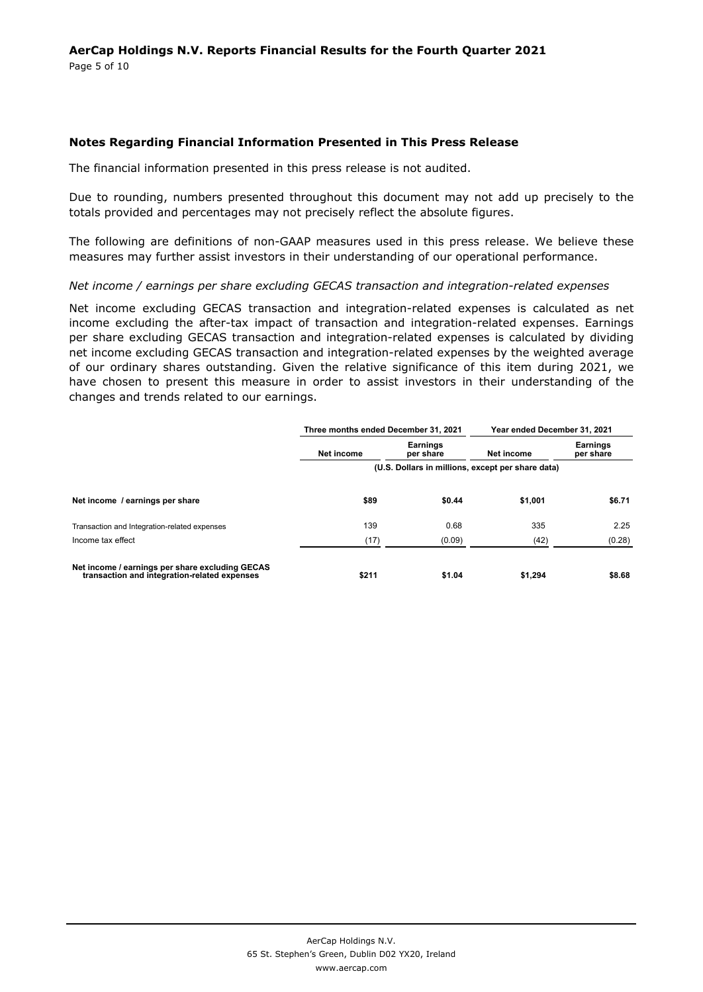#### **Notes Regarding Financial Information Presented in This Press Release**

The financial information presented in this press release is not audited.

Due to rounding, numbers presented throughout this document may not add up precisely to the totals provided and percentages may not precisely reflect the absolute figures.

The following are definitions of non-GAAP measures used in this press release. We believe these measures may further assist investors in their understanding of our operational performance.

#### *Net income / earnings per share excluding GECAS transaction and integration-related expenses*

Net income excluding GECAS transaction and integration-related expenses is calculated as net income excluding the after-tax impact of transaction and integration-related expenses. Earnings per share excluding GECAS transaction and integration-related expenses is calculated by dividing net income excluding GECAS transaction and integration-related expenses by the weighted average of our ordinary shares outstanding. Given the relative significance of this item during 2021, we have chosen to present this measure in order to assist investors in their understanding of the changes and trends related to our earnings.

|                                                                                                 | Three months ended December 31, 2021              |                       | Year ended December 31, 2021 |                              |  |
|-------------------------------------------------------------------------------------------------|---------------------------------------------------|-----------------------|------------------------------|------------------------------|--|
|                                                                                                 | Net income                                        | Earnings<br>per share | Net income                   | <b>Earnings</b><br>per share |  |
|                                                                                                 | (U.S. Dollars in millions, except per share data) |                       |                              |                              |  |
| Net income / earnings per share                                                                 | \$89                                              | \$0.44                | \$1,001                      | \$6.71                       |  |
| Transaction and Integration-related expenses                                                    | 139                                               | 0.68                  | 335                          | 2.25                         |  |
| Income tax effect                                                                               | (17)                                              | (0.09)                | (42)                         | (0.28)                       |  |
| Net income / earnings per share excluding GECAS<br>transaction and integration-related expenses | \$211                                             | \$1.04                | \$1.294                      | \$8.68                       |  |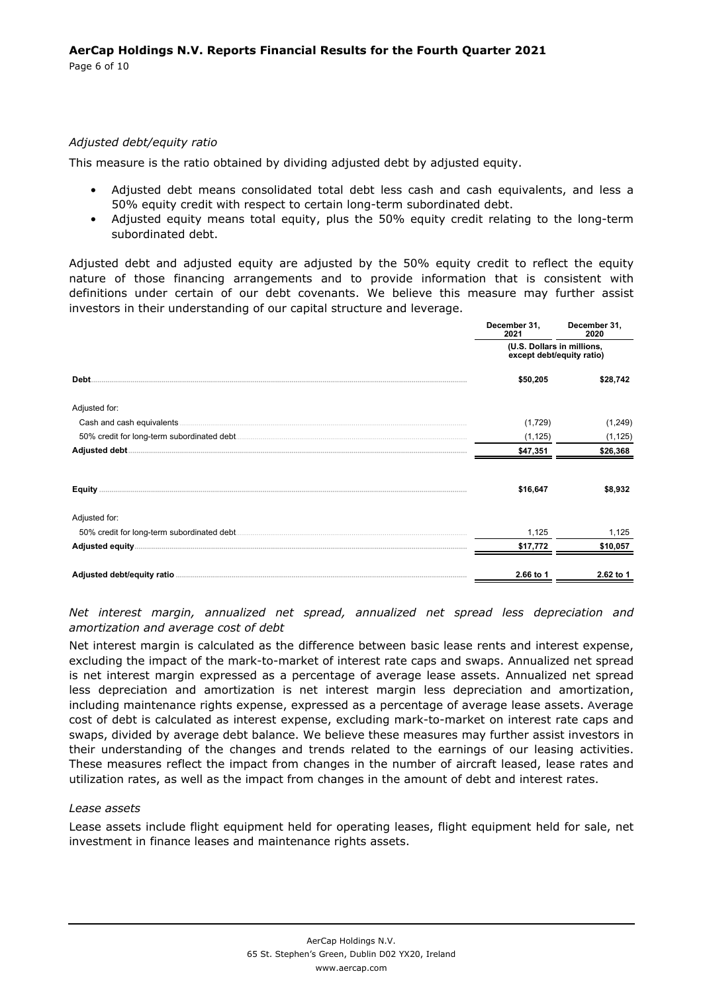## *Adjusted debt/equity ratio*

This measure is the ratio obtained by dividing adjusted debt by adjusted equity.

- Adjusted debt means consolidated total debt less cash and cash equivalents, and less a 50% equity credit with respect to certain long-term subordinated debt.
- Adjusted equity means total equity, plus the 50% equity credit relating to the long-term subordinated debt.

Adjusted debt and adjusted equity are adjusted by the 50% equity credit to reflect the equity nature of those financing arrangements and to provide information that is consistent with definitions under certain of our debt covenants. We believe this measure may further assist investors in their understanding of our capital structure and leverage.

|               | December 31,<br>2021                                    | December 31,<br>2020 |  |  |
|---------------|---------------------------------------------------------|----------------------|--|--|
|               | (U.S. Dollars in millions,<br>except debt/equity ratio) |                      |  |  |
| Debt.         | \$50,205                                                | \$28,742             |  |  |
| Adjusted for: |                                                         |                      |  |  |
|               | (1,729)                                                 | (1,249)              |  |  |
|               | (1, 125)                                                | (1, 125)             |  |  |
|               | \$47,351                                                | \$26,368             |  |  |
|               | \$16,647                                                | \$8,932              |  |  |
| Adjusted for: |                                                         |                      |  |  |
|               | 1,125                                                   | 1,125                |  |  |
|               | \$17,772                                                | \$10,057             |  |  |
|               | 2.66 to 1                                               | 2.62 to 1            |  |  |

## *Net interest margin, annualized net spread, annualized net spread less depreciation and amortization and average cost of debt*

Net interest margin is calculated as the difference between basic lease rents and interest expense, excluding the impact of the mark-to-market of interest rate caps and swaps. Annualized net spread is net interest margin expressed as a percentage of average lease assets. Annualized net spread less depreciation and amortization is net interest margin less depreciation and amortization, including maintenance rights expense, expressed as a percentage of average lease assets. Average cost of debt is calculated as interest expense, excluding mark-to-market on interest rate caps and swaps, divided by average debt balance. We believe these measures may further assist investors in their understanding of the changes and trends related to the earnings of our leasing activities. These measures reflect the impact from changes in the number of aircraft leased, lease rates and utilization rates, as well as the impact from changes in the amount of debt and interest rates.

#### *Lease assets*

Lease assets include flight equipment held for operating leases, flight equipment held for sale, net investment in finance leases and maintenance rights assets.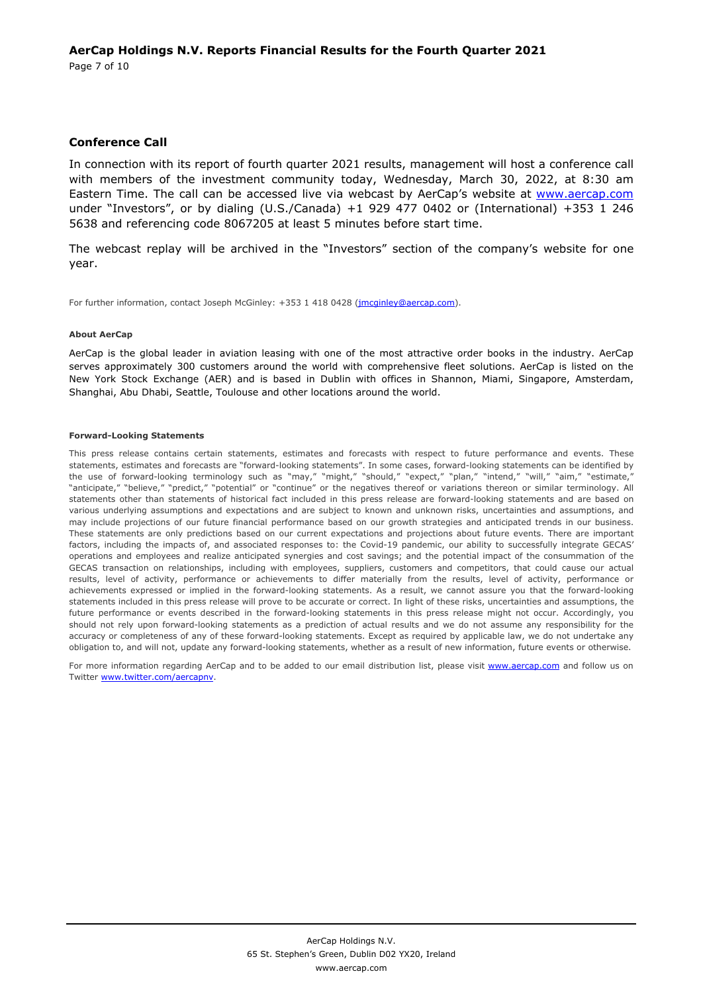#### **Conference Call**

In connection with its report of fourth quarter 2021 results, management will host a conference call with members of the investment community today, Wednesday, March 30, 2022, at 8:30 am Eastern Time. The call can be accessed live via webcast by AerCap's website at [www.aercap.com](http://www.aercap.com) under "Investors", or by dialing (U.S./Canada) +1 929 477 0402 or (International) +353 1 246 5638 and referencing code 8067205 at least 5 minutes before start time.

The webcast replay will be archived in the "Investors" section of the company's website for one year.

For further information, contact Joseph McGinley: +353 1 418 0428 ([jmcginley@aercap.com](jmcginley%2540aercap.com)).

#### **About AerCap**

AerCap is the global leader in aviation leasing with one of the most attractive order books in the industry. AerCap serves approximately 300 customers around the world with comprehensive fleet solutions. AerCap is listed on the New York Stock Exchange (AER) and is based in Dublin with offices in Shannon, Miami, Singapore, Amsterdam, Shanghai, Abu Dhabi, Seattle, Toulouse and other locations around the world.

#### **Forward-Looking Statements**

This press release contains certain statements, estimates and forecasts with respect to future performance and events. These statements, estimates and forecasts are "forward-looking statements". In some cases, forward-looking statements can be identified by the use of forward-looking terminology such as "may," "might," "should," "expect," "plan," "intend," "will," "aim," "estimate," "anticipate," "believe," "predict," "potential" or "continue" or the negatives thereof or variations thereon or similar terminology. All statements other than statements of historical fact included in this press release are forward-looking statements and are based on various underlying assumptions and expectations and are subject to known and unknown risks, uncertainties and assumptions, and may include projections of our future financial performance based on our growth strategies and anticipated trends in our business. These statements are only predictions based on our current expectations and projections about future events. There are important factors, including the impacts of, and associated responses to: the Covid-19 pandemic, our ability to successfully integrate GECAS' operations and employees and realize anticipated synergies and cost savings; and the potential impact of the consummation of the GECAS transaction on relationships, including with employees, suppliers, customers and competitors, that could cause our actual results, level of activity, performance or achievements to differ materially from the results, level of activity, performance or achievements expressed or implied in the forward-looking statements. As a result, we cannot assure you that the forward-looking statements included in this press release will prove to be accurate or correct. In light of these risks, uncertainties and assumptions, the future performance or events described in the forward-looking statements in this press release might not occur. Accordingly, you should not rely upon forward-looking statements as a prediction of actual results and we do not assume any responsibility for the accuracy or completeness of any of these forward-looking statements. Except as required by applicable law, we do not undertake any obligation to, and will not, update any forward-looking statements, whether as a result of new information, future events or otherwise.

For more information regarding AerCap and to be added to our email distribution list, please visit [www.aercap.com](http://www.aercap.com) and follow us on Twitter [www.twitter.com/aercapnv.](http://www.twitter.com/aercapnv)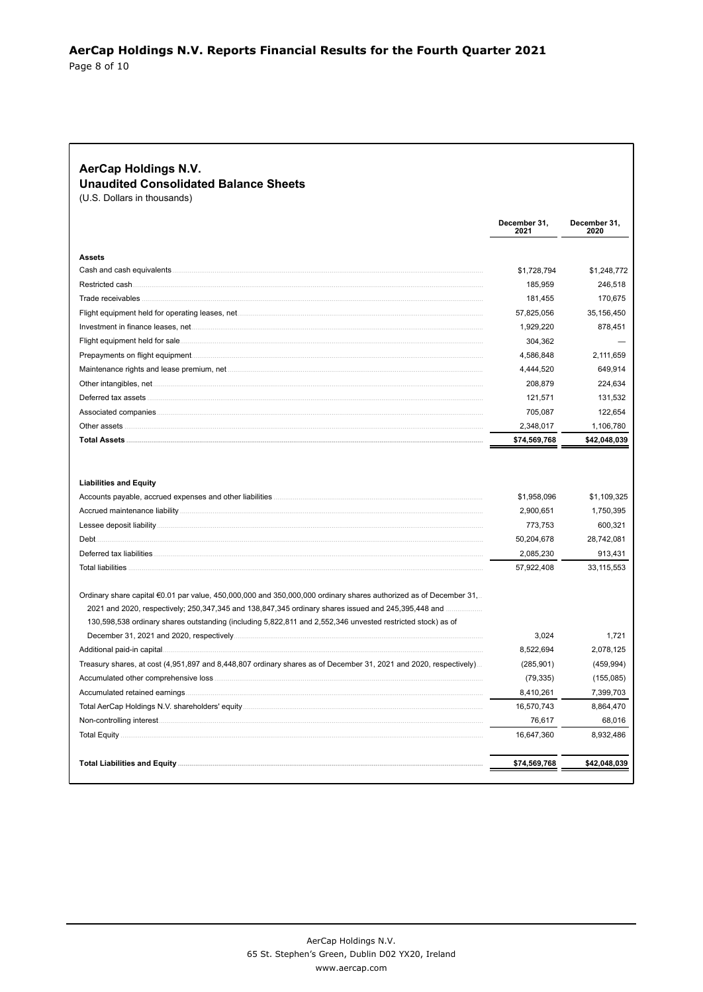# AerCap Holdings N.V. **Unaudited Consolidated Balance Sheets**

(U.S. Dollars in thousands)

|                                                                                                                                                                                                                          | December 31,<br>2021   | December 31,<br>2020 |
|--------------------------------------------------------------------------------------------------------------------------------------------------------------------------------------------------------------------------|------------------------|----------------------|
| Assets                                                                                                                                                                                                                   |                        |                      |
| Cash and cash equivalents.                                                                                                                                                                                               | \$1,728,794            | \$1,248,772          |
| Restricted cash.                                                                                                                                                                                                         | 185,959                | 246,518              |
| Trade receivables                                                                                                                                                                                                        | 181,455                | 170,675              |
|                                                                                                                                                                                                                          | 57,825,056             | 35,156,450           |
|                                                                                                                                                                                                                          | 1,929,220              | 878,451              |
| Flight equipment held for sale                                                                                                                                                                                           | 304,362                |                      |
|                                                                                                                                                                                                                          | 4,586,848              | 2,111,659            |
|                                                                                                                                                                                                                          | 4,444,520              | 649.914              |
| Other intangibles, net                                                                                                                                                                                                   | 208,879                | 224,634              |
| Deferred tax assets                                                                                                                                                                                                      | 121,571                | 131,532              |
|                                                                                                                                                                                                                          | 705,087                | 122,654              |
| Other assets                                                                                                                                                                                                             | 2,348,017              | 1,106,780            |
|                                                                                                                                                                                                                          | \$74,569,768           | \$42,048,039         |
| <b>Liabilities and Equity</b>                                                                                                                                                                                            |                        |                      |
|                                                                                                                                                                                                                          | \$1,958,096            | \$1,109,325          |
|                                                                                                                                                                                                                          | 2,900,651              | 1,750,395<br>600,321 |
| Debt.                                                                                                                                                                                                                    | 773,753<br>50,204,678  | 28,742,081           |
|                                                                                                                                                                                                                          | 2,085,230              | 913,431              |
| <b>Total liabilities</b>                                                                                                                                                                                                 | 57,922,408             | 33,115,553           |
|                                                                                                                                                                                                                          |                        |                      |
| Ordinary share capital €0.01 par value, 450,000,000 and 350,000,000 ordinary shares authorized as of December 31,<br>2021 and 2020, respectively; 250,347,345 and 138,847,345 ordinary shares issued and 245,395,448 and |                        |                      |
| 130,598,538 ordinary shares outstanding (including 5,822,811 and 2,552,346 unvested restricted stock) as of                                                                                                              | 3,024                  | 1,721                |
|                                                                                                                                                                                                                          | 8,522,694              | 2,078,125            |
| Treasury shares, at cost (4,951,897 and 8,448,807 ordinary shares as of December 31, 2021 and 2020, respectively)                                                                                                        | (285, 901)             | (459, 994)           |
| Accumulated other comprehensive loss                                                                                                                                                                                     |                        | (155,085)            |
| Accumulated retained earnings                                                                                                                                                                                            | (79, 335)<br>8.410.261 | 7,399,703            |
|                                                                                                                                                                                                                          | 16,570,743             | 8,864,470            |
|                                                                                                                                                                                                                          | 76,617                 | 68,016               |
|                                                                                                                                                                                                                          | 16,647,360             | 8,932,486            |
|                                                                                                                                                                                                                          |                        |                      |
|                                                                                                                                                                                                                          | \$74,569,768           | \$42,048,039         |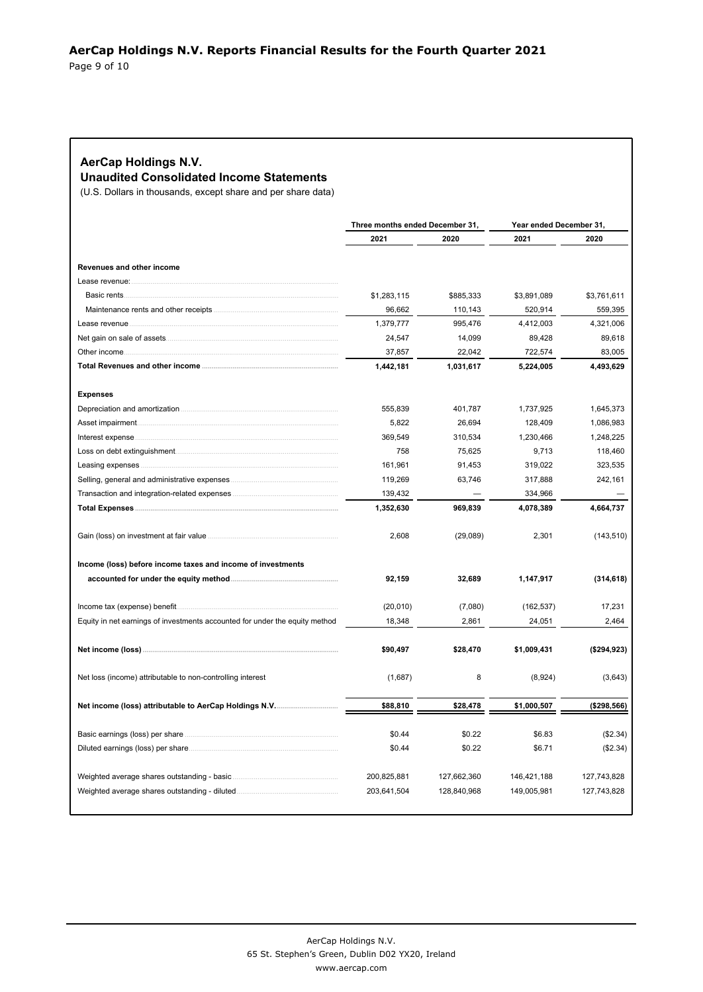# **AerCap Holdings N.V.**

**Unaudited Consolidated Income Statements**

(U.S. Dollars in thousands, except share and per share data)

|                                                                             | Three months ended December 31, |             | Year ended December 31, |             |
|-----------------------------------------------------------------------------|---------------------------------|-------------|-------------------------|-------------|
|                                                                             | 2021                            | 2020        | 2021                    | 2020        |
| <b>Revenues and other income</b>                                            |                                 |             |                         |             |
| Lease revenue:                                                              |                                 |             |                         |             |
| Basic rents                                                                 | \$1,283,115                     | \$885,333   | \$3,891,089             | \$3,761,611 |
|                                                                             | 96,662                          | 110,143     | 520,914                 | 559,395     |
| Lease revenue                                                               | 1,379,777                       | 995,476     | 4,412,003               | 4,321,006   |
|                                                                             | 24,547                          | 14,099      | 89,428                  | 89,618      |
| Other income.                                                               | 37,857                          | 22,042      | 722,574                 | 83,005      |
|                                                                             | 1,442,181                       | 1,031,617   | 5,224,005               | 4,493,629   |
| <b>Expenses</b>                                                             |                                 |             |                         |             |
| Depreciation and amortization                                               | 555,839                         | 401,787     | 1,737,925               | 1,645,373   |
| Asset impairment.                                                           | 5,822                           | 26,694      | 128,409                 | 1,086,983   |
| Interest expense                                                            | 369,549                         | 310,534     | 1,230,466               | 1,248,225   |
|                                                                             | 758                             | 75,625      | 9,713                   | 118,460     |
| Leasing expenses                                                            | 161,961                         | 91,453      | 319,022                 | 323,535     |
| Selling, general and administrative expenses.                               | 119,269                         | 63,746      | 317,888                 | 242,161     |
| Transaction and integration-related expenses                                | 139,432                         |             | 334,966                 |             |
|                                                                             | 1,352,630                       | 969,839     | 4,078,389               | 4,664,737   |
|                                                                             | 2,608                           | (29,089)    | 2.301                   | (143, 510)  |
| Income (loss) before income taxes and income of investments                 |                                 |             |                         |             |
|                                                                             | 92,159                          | 32,689      | 1,147,917               | (314, 618)  |
| Income tax (expense) benefit.<br>.                                          | (20, 010)                       | (7,080)     | (162, 537)              | 17,231      |
| Equity in net earnings of investments accounted for under the equity method | 18,348                          | 2,861       | 24,051                  | 2,464       |
|                                                                             | \$90,497                        | \$28,470    | \$1,009,431             | (\$294,923) |
| Net loss (income) attributable to non-controlling interest                  | (1,687)                         | 8           | (8,924)                 | (3,643)     |
|                                                                             | \$88,810                        | \$28,478    | \$1,000,507             | (\$298,566) |
| Basic earnings (loss) per share                                             | \$0.44                          | \$0.22      | \$6.83                  | (\$2.34)    |
|                                                                             | \$0.44                          | \$0.22      | \$6.71                  | (\$2.34)    |
|                                                                             | 200,825,881                     | 127,662,360 | 146,421,188             | 127,743,828 |
| Weighted average shares outstanding - diluted                               | 203,641,504                     | 128,840,968 | 149,005,981             | 127,743,828 |